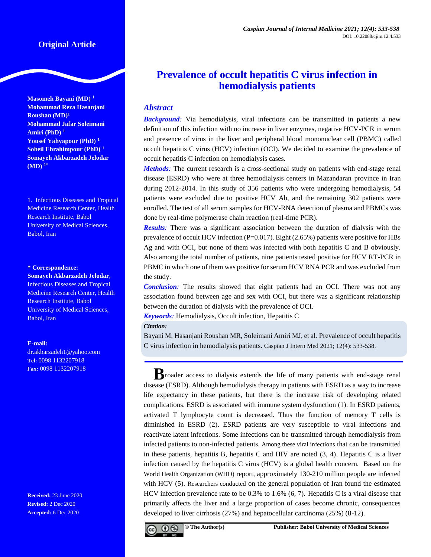# **Original Article**

**Masomeh Bayani (MD) <sup>1</sup> Mohammad Reza Hasanjani Roushan (MD)<sup>1</sup> Mohammad Jafar Soleimani Amiri (PhD) <sup>1</sup> Yousef Yahyapour (PhD) <sup>1</sup> Soheil Ebrahimpour (PhD) <sup>1</sup> Somayeh Akbarzadeh Jelodar (MD) 1\***

1. Infectious Diseases and Tropical Medicine Research Center, Health Research Institute, Babol University of Medical Sciences, Babol, Iran

## **\* Correspondence:**

**Somayeh Akbarzadeh Jelodar**, Infectious Diseases and Tropical Medicine Research Center, Health Research Institute, Babol University of Medical Sciences, Babol, Iran

### **E-mail:**

[dr.akbarzadeh1@yahoo.com](mailto:dr.akbarzadeh1@yahoo.com) **Tel:** 0098 1132207918 **Fax:** 0098 1132207918

**Received:** 23 June 2020 **Revised:** 2 Dec 2020 **Accepted:** 6 Dec 2020

# **Prevalence of occult hepatitis C virus infection in hemodialysis patients**

# *Abstract*

**Background**: Via hemodialysis, viral infections can be transmitted in patients a new definition of this infection with no increase in liver enzymes, negative HCV-PCR in serum and presence of virus in the liver and peripheral blood mononuclear cell (PBMC) called occult hepatitis C virus (HCV) infection (OCI). We decided to examine the prevalence of occult hepatitis C infection on hemodialysis cases.

*Methods*: The current research is a cross-sectional study on patients with end-stage renal disease (ESRD) who were at three hemodialysis centers in Mazandaran province in Iran during 2012-2014. In this study of 356 patients who were undergoing hemodialysis, 54 patients were excluded due to positive HCV Ab, and the remaining 302 patients were enrolled. The test of all serum samples for HCV-RNA detection of plasma and PBMCs was done by real-time polymerase chain reaction (real-time PCR).

*Results:* There was a significant association between the duration of dialysis with the prevalence of occult HCV infection (P=0.017). Eight (2.65%) patients were positive for HBs Ag and with OCI, but none of them was infected with both hepatitis C and B obviously. Also among the total number of patients, nine patients tested positive for HCV RT-PCR in PBMC in which one of them was positive for serum HCV RNA PCR and was excluded from the study.

*Conclusion:* The results showed that eight patients had an OCI. There was not any association found between age and sex with OCI, but there was a significant relationship between the duration of dialysis with the prevalence of OCI.

*Keywords:* Hemodialysis, Occult infection, Hepatitis C

### *Citation:*

Bayani M, Hasanjani Roushan MR, Soleimani Amiri MJ, et al. Prevalence of occult hepatitis C virus infection in hemodialysis patients. Caspian J Intern Med 2021; 12(4): 533-538.

**B**roader access to dialysis extends the life of many patients with end-stage renal disease (ESRD). Although hemodialysis therapy in patients with ESRD as a way to increase life expectancy in these patients, but there is the increase risk of developing related complications. ESRD is associated with immune system dysfunction (1). In ESRD patients, activated T lymphocyte count is decreased. Thus the function of memory T cells is diminished in ESRD (2). ESRD patients are very susceptible to viral infections and reactivate latent infections. Some infections can be transmitted through hemodialysis from infected patients to non-infected patients. Among these viral infections that can be transmitted in these patients, hepatitis B, hepatitis C and HIV are noted (3, 4). Hepatitis C is a liver infection caused by the hepatitis C virus (HCV) is a global health concern. Based on the World Health Organization (WHO) report, approximately 130-210 million people are infected with HCV (5). Researchers conducted on the general population of Iran found the estimated HCV infection prevalence rate to be 0.3% to 1.6% (6, 7). Hepatitis C is a viral disease that primarily affects the liver and a large proportion of cases become chronic, consequences developed to liver cirrhosis (27%) and hepatocellular carcinoma (25%) (8-12).

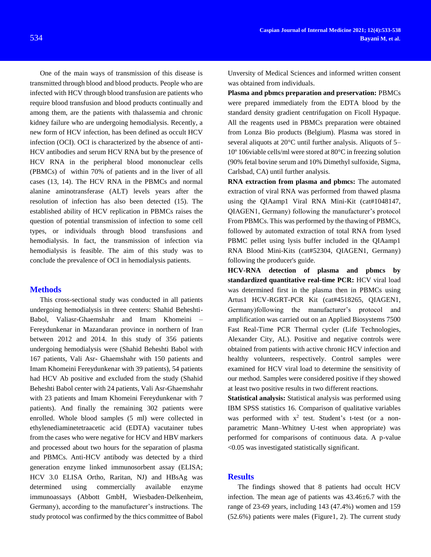One of the main ways of transmission of this disease is transmitted through blood and blood products. People who are infected with HCV through blood transfusion are patients who require blood transfusion and blood products continually and among them, are the patients with thalassemia and chronic kidney failure who are undergoing hemodialysis. Recently, a new form of HCV infection, has been defined as occult HCV infection (OCI). OCI is characterized by the absence of anti-HCV antibodies and serum HCV RNA but by the presence of HCV RNA in the peripheral blood mononuclear cells (PBMCs) of within 70% of patients and in the liver of all cases (13, 14). The HCV RNA in the PBMCs and normal alanine aminotransferase (ALT) levels years after the resolution of infection has also been detected (15). The established ability of HCV replication in PBMCs raises the question of potential transmission of infection to some cell types, or individuals through blood transfusions and hemodialysis. In fact, the transmission of infection via hemodialysis is feasible. The aim of this study was to conclude the prevalence of OCI in hemodialysis patients.

## **Methods**

This cross-sectional study was conducted in all patients undergoing hemodialysis in three centers: Shahid Beheshti-Babol, Valiasr-Ghaemshahr and Imam Khomeini – Fereydunkenar in Mazandaran province in northern of Iran between 2012 and 2014. In this study of 356 patients undergoing hemodialysis were (Shahid Beheshti Babol with 167 patients, Vali Asr- Ghaemshahr with 150 patients and Imam Khomeini Fereydunkenar with 39 patients), 54 patients had HCV Ab positive and excluded from the study (Shahid Beheshti Babol center with 24 patients, Vali Asr-Ghaemshahr with 23 patients and Imam Khomeini Fereydunkenar with 7 patients). And finally the remaining 302 patients were enrolled. Whole blood samples (5 ml) were collected in ethylenediaminetetraacetic acid (EDTA) vacutainer tubes from the cases who were negative for HCV and HBV markers and processed about two hours for the separation of plasma and PBMCs. Anti-HCV antibody was detected by a third generation enzyme linked immunosorbent assay (ELISA; HCV 3.0 ELISA Ortho, Raritan, NJ) and HBsAg was determined using commercially available enzyme immunoassays (Abbott GmbH, Wiesbaden-Delkenheim, Germany), according to the manufacturer's instructions. The study protocol was confirmed by the thics committee of Babol Unversity of Medical Sciences and informed written consent was obtained from individuals.

**Plasma and pbmcs preparation and preservation:** PBMCs were prepared immediately from the EDTA blood by the standard density gradient centrifugation on Ficoll Hypaque. All the reagents used in PBMCs preparation were obtained from Lonza Bio products (Belgium). Plasma was stored in several aliquots at 20°C until further analysis. Aliquots of 5– 10º 106viable cells/ml were stored at 80°C in freezing solution (90% fetal bovine serum and 10% Dimethyl sulfoxide, Sigma, Carlsbad, CA) until further analysis.

**RNA extraction from plasma and pbmcs:** The automated extraction of viral RNA was performed from thawed plasma using the QIAamp1 Viral RNA Mini-Kit (cat#1048147, QIAGEN1, Germany) following the manufacturer's protocol From PBMCs. This was performed by the thawing of PBMCs, followed by automated extraction of total RNA from lysed PBMC pellet using lysis buffer included in the QIAamp1 RNA Blood Mini-Kits (cat#52304, QIAGEN1, Germany) following the producer's guide.

**HCV-RNA detection of plasma and pbmcs by standardized quantitative real-time PCR:** HCV viral load was determined first in the plasma then in PBMCs using Artus1 HCV-RGRT-PCR Kit (cat#4518265, QIAGEN1, Germany)following the manufacturer's protocol and amplification was carried out on an Applied Biosystems 7500 Fast Real-Time PCR Thermal cycler (Life Technologies, Alexander City, AL). Positive and negative controls were obtained from patients with active chronic HCV infection and healthy volunteers, respectively. Control samples were examined for HCV viral load to determine the sensitivity of our method. Samples were considered positive if they showed at least two positive results in two different reactions.

**Statistical analysis:** Statistical analysis was performed using IBM SPSS statistics 16. Comparison of qualitative variables was performed with  $x^2$  test. Student's t-test (or a nonparametric Mann–Whitney U-test when appropriate) was performed for comparisons of continuous data. A p-value <0.05 was investigated statistically significant.

## **Results**

The findings showed that 8 patients had occult HCV infection. The mean age of patients was 43.46±6.7 with the range of 23-69 years, including 143 (47.4%) women and 159 (52.6%) patients were males (Figure1, 2). The current study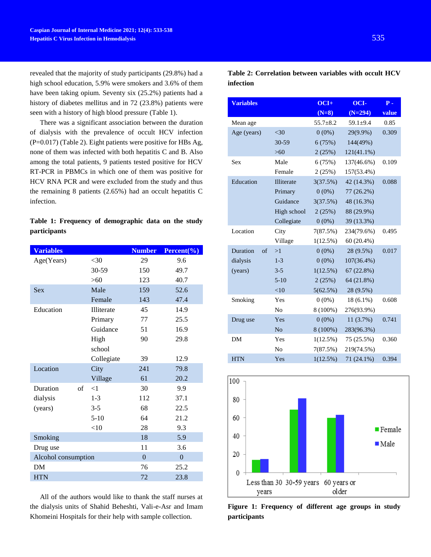revealed that the majority of study participants (29.8%) had a high school education, 5.9% were smokers and 3.6% of them have been taking opium. Seventy six (25.2%) patients had a history of diabetes mellitus and in 72 (23.8%) patients were seen with a history of high blood pressure (Table 1).

There was a significant association between the duration of dialysis with the prevalence of occult HCV infection (P=0.017) (Table 2). Eight patients were positive for HBs Ag, none of them was infected with both hepatitis C and B. Also among the total patients, 9 patients tested positive for HCV RT-PCR in PBMCs in which one of them was positive for HCV RNA PCR and were excluded from the study and thus the remaining 8 patients (2.65%) had an occult hepatitis C infection.

# **Table 1: Frequency of demographic data on the study participants**

| <b>Variables</b>    |            | <b>Number</b>  | Percent $\frac{6}{6}$ |
|---------------------|------------|----------------|-----------------------|
| Age(Years)          | $<$ 30     | 29             | 9.6                   |
|                     | 30-59      | 150            | 49.7                  |
|                     | $>60$      | 123            | 40.7                  |
| <b>Sex</b>          | Male       | 159            | 52.6                  |
|                     | Female     | 143            | 47.4                  |
| Education           | Illiterate | 45             | 14.9                  |
|                     | Primary    | 77             | 25.5                  |
|                     | Guidance   | 51             | 16.9                  |
|                     | High       | 90             | 29.8                  |
|                     | school     |                |                       |
|                     | Collegiate | 39             | 12.9                  |
| Location            | City       | 241            | 79.8                  |
|                     | Village    | 61             | 20.2                  |
| Duration<br>of      | $<$ 1      | 30             | 9.9                   |
| dialysis            | $1 - 3$    | 112            | 37.1                  |
| (years)             | $3 - 5$    | 68             | 22.5                  |
|                     | $5 - 10$   | 64             | 21.2                  |
|                     | $<$ 10     | 28             | 9.3                   |
| Smoking             |            | 18             | 5.9                   |
| Drug use            |            | 11             | 3.6                   |
| Alcohol consumption |            | $\overline{0}$ | $\overline{0}$        |
| DM                  |            | 76             | 25.2                  |
| <b>HTN</b>          |            | 72             | 23.8                  |

All of the authors would like to thank the staff nurses at the dialysis units of Shahid Beheshti, Vali-e-Asr and Imam Khomeini Hospitals for their help with sample collection.

|           | Table 2: Correlation between variables with occult HCV |  |  |  |
|-----------|--------------------------------------------------------|--|--|--|
| infection |                                                        |  |  |  |

| <b>Variables</b>              |                | $OCI+$         | OCI-           | $P -$ |
|-------------------------------|----------------|----------------|----------------|-------|
|                               |                | $(N=8)$        | $(N=294)$      | value |
| Mean age                      |                | $55.7 \pm 8.2$ | $59.1 \pm 9.4$ | 0.85  |
| Age (years)                   | $30$           | $0(0\%)$       | 29(9.9%)       | 0.309 |
|                               | 30-59          | 6(75%)         | 144(49%)       |       |
|                               | $>60$          | 2(25%)         | $121(41.1\%)$  |       |
| <b>Sex</b>                    | Male           | 6(75%)         | 137(46.6%)     | 0.109 |
|                               | Female         | 2(25%)         | 157(53.4%)     |       |
| Education                     | Illiterate     | 3(37.5%)       | 42 (14.3%)     | 0.088 |
|                               | Primary        | $0(0\%)$       | 77 (26.2%)     |       |
|                               | Guidance       | 3(37.5%)       | 48 (16.3%)     |       |
|                               | High school    | 2(25%)         | 88 (29.9%)     |       |
|                               | Collegiate     | $0(0\%)$       | 39 (13.3%)     |       |
| Location                      | City           | 7(87.5%)       | 234(79.6%)     | 0.495 |
|                               | Village        | $1(12.5\%)$    | $60(20.4\%)$   |       |
| <b>Duration</b><br>$\sigma$ f | >1             | $0(0\%)$       | 28 (9.5%)      | 0.017 |
| dialysis                      | $1-3$          | $0(0\%)$       | $107(36.4\%)$  |       |
| (years)                       | $3 - 5$        | 1(12.5%)       | 67(22.8%)      |       |
|                               | $5 - 10$       | 2(25%)         | 64 (21.8%)     |       |
|                               | <10            | 5(62.5%)       | 28 (9.5%)      |       |
| Smoking                       | Yes            | $0(0\%)$       | $18(6.1\%)$    | 0.608 |
|                               | N <sub>0</sub> | $8(100\%)$     | 276(93.9%)     |       |
| Drug use                      | Yes            | $0(0\%)$       | 11(3.7%)       | 0.741 |
|                               | N <sub>o</sub> | $8(100\%)$     | 283(96.3%)     |       |
| DM                            | Yes            | 1(12.5%)       | 75 (25.5%)     | 0.360 |
|                               | N <sub>o</sub> | 7(87.5%)       | 219(74.5%)     |       |
| <b>HTN</b>                    | Yes            | 1(12.5%)       | 71 (24.1%)     | 0.394 |
|                               |                |                |                |       |



**Figure 1: Frequency of different age groups in study participants**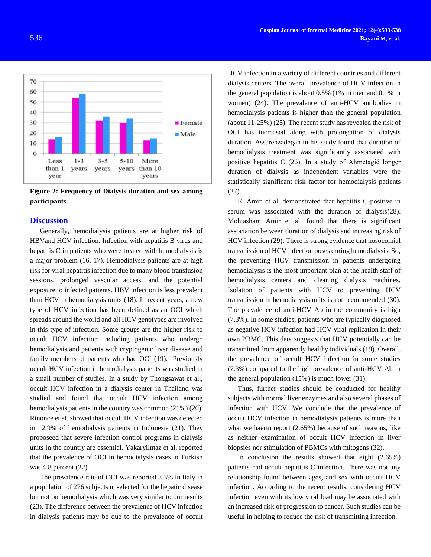

**Figure 2: Frequency of Dialysis duration and sex among participants**

# **Discussion**

Generally, hemodialysis patients are at higher risk of HBVand HCV infection. Infection with hepatitis B virus and hepatitis C in patients who were treated with hemodialysis is a major problem (16, 17). Hemodialysis patients are at high risk for viral hepatitis infection due to many blood transfusion sessions, prolonged vascular access, and the potential exposure to infected patients. HBV infection is less prevalent than HCV in hemodialysis units (18). In recent years, a new type of HCV infection has been defined as an OCI which spreads around the world and all HCV genotypes are involved in this type of infection. Some groups are the higher risk to occult HCV infection including patients who undergo hemodialysis and patients with cryptogenic liver disease and family members of patients who had OCI (19). Previously occult HCV infection in hemodialysis patients was studied in a small number of studies. In a study by Thongsawat et al., occult HCV infection in a dialysis center in Thailand was studied and found that occult HCV infection among hemodialysis patients in the country was common  $(21\%)$  (20). Rinonce et al. showed that occult HCV infection was detected in 12.9% of hemodialysis patients in Indonesia (21). They proposeed that severe infection control programs in dialysis units in the country are essential. Yakaryilmaz et al. reported that the prevalence of OCI in hemodialysis cases in Turkish was 4.8 percent (22).

The prevalence rate of OCI was reported 3.3% in Italy in a population of 276 subjects unselected for the hepatic disease but not on hemodialysis which was very similar to our results (23). The difference between the prevalence of HCV infection in dialysis patients may be due to the prevalence of occult HCV infection in a variety of different countries and different dialysis centers. The overall prevalence of HCV infection in the general population is about 0.5% (1% in men and 0.1% in women) (24). The prevalence of anti-HCV antibodies in hemodialysis patients is higher than the general population (about 11-25%) (25). The recent study has revealed the risk of OCI has increased along with prolongation of dialysis duration. Assarehzadegan in his study found that duration of hemodialysis treatment was significantly associated with positive hepatitis C (26). In a study of Ahmetagić longer duration of dialysis as independent variables were the statistically significant risk factor for hemodialysis patients  $(27)$ .

El Amin et al. demonstrated that hepatitis C-positive in serum was associated with the duration of dialysis(28). Mohtasham Amir et al. found that there is significant association between duration of dialysis and increasing risk of HCV infection (29). There is strong evidence that nosocomial transmission of HCV infection poses during hemodialysis. So, the preventing HCV transmission in patients undergoing hemodialysis is the most important plan at the health staff of hemodialysis centers and cleaning dialysis machines. Isolation of patients with HCV to preventing HCV transmission in hemodialysis units is not recommended (30). The prevalence of anti-HCV Ab in the community is high (7.3%). In some studies, patients who are typically diagnosed as negative HCV infection had HCV viral replication in their own PBMC. This data suggests that HCV potentially can be transmitted from apparently healthy individuals (19). Overall, the prevalence of occult HCV infection in some studies (7.3%) compared to the high prevalence of anti-HCV Ab in the general population (15%) is much lower (31).

Thus, further studies should be conducted for healthy subjects with normal liver enzymes and also several phases of infection with HCV. We conclude that the prevalence of occult HCV infection in hemodialysis patients is more than what we haerin report (2.65%) because of such reasons, like as neither examination of occult HCV infection in liver biopsies nor stimulation of PBMCs with mitogens (32).

In conclusion the results showed that eight  $(2.65\%)$ patients had occult hepatitis C infection. There was not any relationship found between ages, and sex with occult HCV infection. According to the recent results, considering HCV infection even with its low viral load may be associated with an increased risk of progression to cancer. Such studies can be useful in helping to reduce the risk of transmitting infection.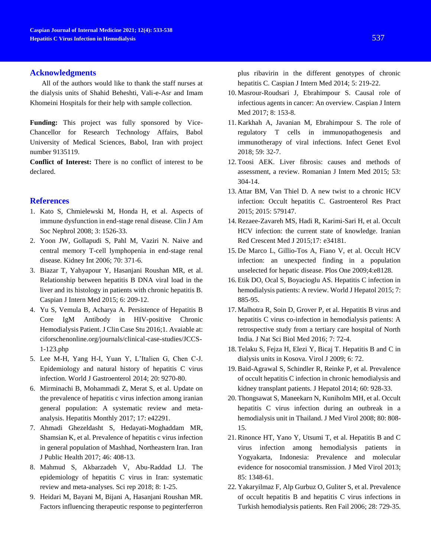# **Acknowledgments**

All of the authors would like to thank the staff nurses at the dialysis units of Shahid Beheshti, Vali-e-Asr and Imam Khomeini Hospitals for their help with sample collection.

**Funding:** This project was fully sponsored by Vice-Chancellor for Research Technology Affairs, Babol University of Medical Sciences, Babol, Iran with project number 9135119.

**Conflict of Interest:** There is no conflict of interest to be declared.

# **References**

- 1. Kato S, Chmielewski M, Honda H, et al. Aspects of immune dysfunction in end-stage renal disease. Clin J Am Soc Nephrol 2008; 3: 1526-33.
- 2. Yoon JW, Gollapudi S, Pahl M, Vaziri N. Naive and central memory T-cell lymphopenia in end-stage renal disease. Kidney Int 2006; 70: 371-6.
- 3. Biazar T, Yahyapour Y, Hasanjani Roushan MR, et al. Relationship between hepatitis B DNA viral load in the liver and its histology in patients with chronic hepatitis B. Caspian J Intern Med 2015; 6: 209-12.
- 4. Yu S, Vemula B, Acharya A. Persistence of Hepatitis B Core IgM Antibody in HIV-positive Chronic Hemodialysis Patient. J Clin Case Stu 2016;1. Avaiable at: ciforschenonline.org/journals/clinical-case-studies/JCCS-1-123.php
- 5. Lee M-H, Yang H-I, Yuan Y, L'Italien G, Chen C-J. Epidemiology and natural history of hepatitis C virus infection. World J Gastroenterol 2014; 20: 9270-80.
- 6. Mirminachi B, Mohammadi Z, Merat S, et al. Update on the prevalence of hepatitis c virus infection among iranian general population: A systematic review and metaanalysis. Hepatitis Monthly 2017; 17: e42291.
- 7. Ahmadi Ghezeldasht S, Hedayati-Moghaddam MR, Shamsian K, et al. Prevalence of hepatitis c virus infection in general population of Mashhad, Northeastern Iran. Iran J Public Health 2017; 46: 408-13.
- 8. Mahmud S, Akbarzadeh V, Abu-Raddad LJ. The epidemiology of hepatitis C virus in Iran: systematic review and meta-analyses. Sci rep 2018; 8: 1-25.
- 9. Heidari M, Bayani M, Bijani A, Hasanjani Roushan MR. Factors influencing therapeutic response to peginterferron

plus ribavirin in the different genotypes of chronic hepatitis C. Caspian J Intern Med 2014; 5: 219-22.

- 10. Masrour-Roudsari J, Ebrahimpour S. Causal role of infectious agents in cancer: An overview. Caspian J Intern Med 2017; 8: 153-8.
- 11. Karkhah A, Javanian M, Ebrahimpour S. The role of regulatory T cells in immunopathogenesis and immunotherapy of viral infections. Infect Genet Evol 2018; 59: 32-7.
- 12. Toosi AEK. Liver fibrosis: causes and methods of assessment, a review. Romanian J Intern Med 2015; 53: 304-14.
- 13. Attar BM, Van Thiel D. A new twist to a chronic HCV infection: Occult hepatitis C. Gastroenterol Res Pract 2015; 2015: 579147.
- 14. Rezaee-Zavareh MS, Hadi R, Karimi-Sari H, et al. Occult HCV infection: the current state of knowledge. Iranian Red Crescent Med J 2015;17: e34181.
- 15. De Marco L, Gillio-Tos A, Fiano V, et al. Occult HCV infection: an unexpected finding in a population unselected for hepatic disease. Plos One 2009;4:e8128.
- 16. Etik DO, Ocal S, Boyacioglu AS. Hepatitis C infection in hemodialysis patients: A review. World J Hepatol 2015; 7: 885-95.
- 17. Malhotra R, Soin D, Grover P, et al. Hepatitis B virus and hepatitis C virus co-infection in hemodialysis patients: A retrospective study from a tertiary care hospital of North India. J Nat Sci Biol Med 2016; 7: 72-4.
- 18. Telaku S, Fejza H, Elezi Y, Bicaj T. Hepatitis B and C in dialysis units in Kosova. Virol J 2009; 6: 72.
- 19. Baid-Agrawal S, Schindler R, Reinke P, et al. Prevalence of occult hepatitis C infection in chronic hemodialysis and kidney transplant patients. J Hepatol 2014; 60: 928-33.
- 20. Thongsawat S, Maneekarn N, Kuniholm MH, et al. Occult hepatitis C virus infection during an outbreak in a hemodialysis unit in Thailand. J Med Virol 2008; 80: 808- 15.
- 21. Rinonce HT, Yano Y, Utsumi T, et al. Hepatitis B and C virus infection among hemodialysis patients in Yogyakarta, Indonesia: Prevalence and molecular evidence for nosocomial transmission. J Med Virol 2013; 85: 1348-61.
- 22. Yakaryilmaz F, Alp Gurbuz O, Guliter S, et al. Prevalence of occult hepatitis B and hepatitis C virus infections in Turkish hemodialysis patients. Ren Fail 2006; 28: 729-35.